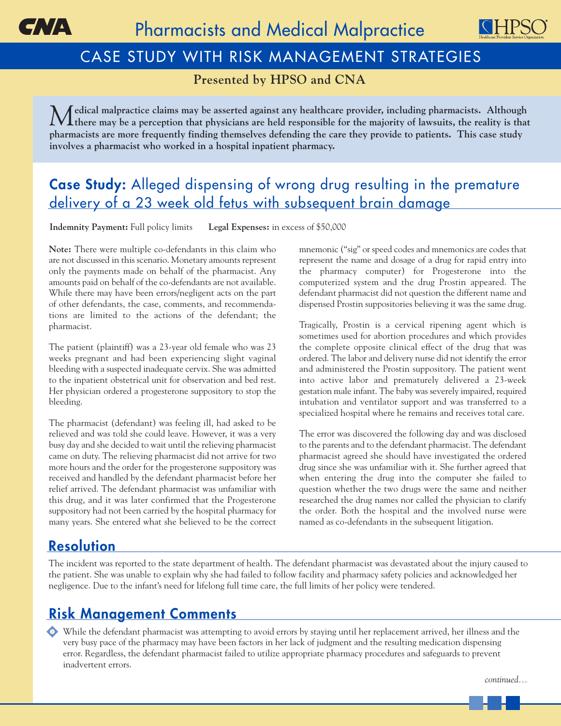



# CASE STUDY WITH RISK MANAGEMENT STRATEGIES

**Presented by HPSO and CNA**

*M***edical malpractice claims may be asserted against any healthcare provider, including pharmacists. Although I** there may be a perception that physicians are held responsible for the majority of lawsuits, the reality is that **pharmacists are more frequently finding themselves defending the care they provide to patients. This case study involves a pharmacist who worked in a hospital inpatient pharmacy.**

## **Case Study:** Alleged dispensing of wrong drug resulting in the premature delivery of a 23 week old fetus with subsequent brain damage

**Indemnity Payment:** Full policy limits **Legal Expenses:** in excess of \$50,000

**Note:** There were multiple co-defendants in this claim who are not discussed in this scenario. Monetary amounts represent only the payments made on behalf of the pharmacist. Any amounts paid on behalf of the co-defendants are not available. While there may have been errors/negligent acts on the part of other defendants, the case, comments, and recommendations are limited to the actions of the defendant; the pharmacist.

The patient (plaintiff) was a 23-year old female who was 23 weeks pregnant and had been experiencing slight vaginal bleeding with a suspected inadequate cervix. She was admitted to the inpatient obstetrical unit for observation and bed rest. Her physician ordered a progesterone suppository to stop the bleeding.

The pharmacist (defendant) was feeling ill, had asked to be relieved and was told she could leave. However, it was a very busy day and she decided to wait until the relieving pharmacist came on duty. The relieving pharmacist did not arrive for two more hours and the order for the progesterone suppository was received and handled by the defendant pharmacist before her relief arrived. The defendant pharmacist was unfamiliar with this drug, and it was later confirmed that the Progesterone suppository had not been carried by the hospital pharmacy for many years. She entered what she believed to be the correct mnemonic ("sig" or speed codes and mnemonics are codes that represent the name and dosage of a drug for rapid entry into the pharmacy computer) for Progesterone into the computerized system and the drug Prostin appeared. The defendant pharmacist did not question the different name and dispensed Prostin suppositories believing it was the same drug.

Tragically, Prostin is a cervical ripening agent which is sometimes used for abortion procedures and which provides the complete opposite clinical effect of the drug that was ordered. The labor and delivery nurse did not identify the error and administered the Prostin suppository. The patient went into active labor and prematurely delivered a 23-week gestation male infant. The baby was severely impaired, required intubation and ventilator support and was transferred to a specialized hospital where he remains and receives total care.

The error was discovered the following day and was disclosed to the parents and to the defendant pharmacist. The defendant pharmacist agreed she should have investigated the ordered drug since she was unfamiliar with it. She further agreed that when entering the drug into the computer she failed to question whether the two drugs were the same and neither researched the drug names nor called the physician to clarify the order. Both the hospital and the involved nurse were named as co-defendants in the subsequent litigation.

### **Resolution**

The incident was reported to the state department of health. The defendant pharmacist was devastated about the injury caused to the patient. She was unable to explain why she had failed to follow facility and pharmacy safety policies and acknowledged her negligence. Due to the infant's need for lifelong full time care, the full limits of her policy were tendered.

## **Risk Management Comments**

While the defendant pharmacist was attempting to avoid errors by staying until her replacement arrived, her illness and the very busy pace of the pharmacy may have been factors in her lack of judgment and the resulting medication dispensing error. Regardless, the defendant pharmacist failed to utilize appropriate pharmacy procedures and safeguards to prevent inadvertent errors.

*continued…*